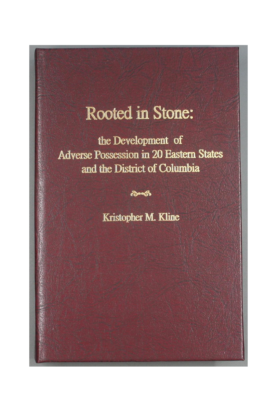# Rooted in Stone:

the Development of **Adverse Possession in 20 Eastern States** and the District of Columbia

Kristopher M. Kline

ക്ഷേക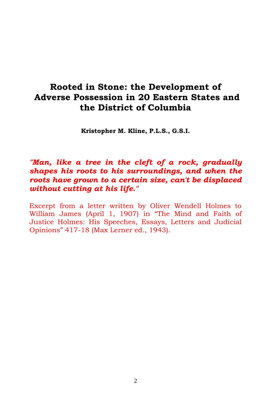# **Rooted in Stone: the Development of Adverse Possession in 20 Eastern States and the District of Columbia**

**Kristopher M. Kline, P.L.S., G.S.I.**

## *"Man, like a tree in the cleft of a rock, gradually shapes his roots to his surroundings, and when the roots have grown to a certain size, can't be displaced without cutting at his life."*

Excerpt from a letter written by Oliver Wendell Holmes to William James (April 1, 1907) in "The Mind and Faith of Justice Holmes: His Speeches, Essays, Letters and Judicial Opinions" 417-18 (Max Lerner ed., 1943).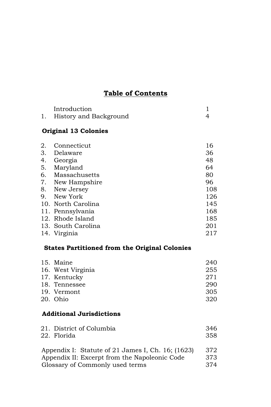## **Table of Contents**

| Introduction           |  |
|------------------------|--|
| History and Background |  |

## **Original 13 Colonies**

| 2. | Connecticut        | 16  |
|----|--------------------|-----|
| 3. | Delaware           | 36  |
| 4. | Georgia            | 48  |
|    | 5. Maryland        | 64  |
|    | 6. Massachusetts   | 80  |
|    | 7. New Hampshire   | 96  |
|    | 8. New Jersey      | 108 |
|    | 9. New York        | 126 |
|    | 10. North Carolina | 145 |
|    | 11. Pennsylvania   | 168 |
|    | 12. Rhode Island   | 185 |
|    | 13. South Carolina | 201 |
|    | 14. Virginia       | 217 |

## **States Partitioned from the Original Colonies**

| 15. Maine         | 240 |
|-------------------|-----|
| 16. West Virginia | 255 |
| 17. Kentucky      | 271 |
| 18. Tennessee     | 290 |
| 19. Vermont       | 305 |
| 20. Ohio          | 320 |

## **Additional Jurisdictions**

| 21. District of Columbia | 346 |
|--------------------------|-----|
| 22. Florida              | 358 |

| Appendix I: Statute of 21 James I, Ch. 16; (1623) | 372 |
|---------------------------------------------------|-----|
| Appendix II: Excerpt from the Napoleonic Code     | 373 |
| Glossary of Commonly used terms                   | 374 |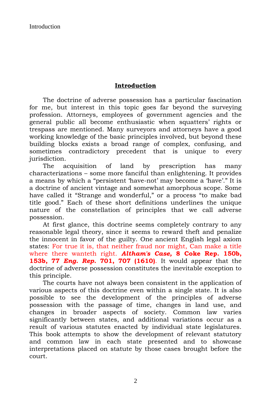#### **Introduction**

The doctrine of adverse possession has a particular fascination for me, but interest in this topic goes far beyond the surveying profession. Attorneys, employees of government agencies and the general public all become enthusiastic when squatters' rights or trespass are mentioned. Many surveyors and attorneys have a good working knowledge of the basic principles involved, but beyond these building blocks exists a broad range of complex, confusing, and sometimes contradictory precedent that is unique to every jurisdiction.

The acquisition of land by prescription has many characterizations – some more fanciful than enlightening. It provides a means by which a "persistent 'have-not' may become a 'have'." It is a doctrine of ancient vintage and somewhat amorphous scope. Some have called it "Strange and wonderful," or a process "to make bad title good." Each of these short definitions underlines the unique nature of the constellation of principles that we call adverse possession.

At first glance, this doctrine seems completely contrary to any reasonable legal theory, since it seems to reward theft and penalize the innocent in favor of the guilty. One ancient English legal axiom states: For true it is, that neither fraud nor might, Can make a title where there wanteth right. *Altham's Case,* **8 Coke Rep. 150b, 153b, 77** *Eng. Rep.* **701, 707 (1610)**. It would appear that the doctrine of adverse possession constitutes the inevitable exception to this principle.

The courts have not always been consistent in the application of various aspects of this doctrine even within a single state. It is also possible to see the development of the principles of adverse possession with the passage of time, changes in land use, and changes in broader aspects of society. Common law varies significantly between states, and additional variations occur as a result of various statutes enacted by individual state legislatures. This book attempts to show the development of relevant statutory and common law in each state presented and to showcase interpretations placed on statute by those cases brought before the court.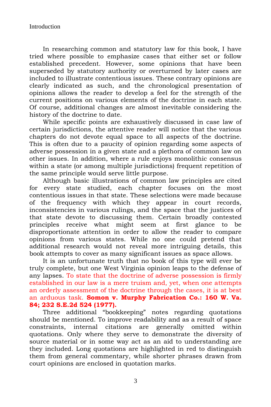In researching common and statutory law for this book, I have tried where possible to emphasize cases that either set or follow established precedent. However, some opinions that have been superseded by statutory authority or overturned by later cases are included to illustrate contentious issues. These contrary opinions are clearly indicated as such, and the chronological presentation of opinions allows the reader to develop a feel for the strength of the current positions on various elements of the doctrine in each state. Of course, additional changes are almost inevitable considering the history of the doctrine to date.

While specific points are exhaustively discussed in case law of certain jurisdictions, the attentive reader will notice that the various chapters do not devote equal space to all aspects of the doctrine. This is often due to a paucity of opinion regarding some aspects of adverse possession in a given state and a plethora of common law on other issues. In addition, where a rule enjoys monolithic consensus within a state (or among multiple jurisdictions) frequent repetition of the same principle would serve little purpose.

Although basic illustrations of common law principles are cited for every state studied, each chapter focuses on the most contentious issues in that state. These selections were made because of the frequency with which they appear in court records, inconsistencies in various rulings, and the space that the justices of that state devote to discussing them. Certain broadly contested principles receive what might seem at first glance to be disproportionate attention in order to allow the reader to compare opinions from various states. While no one could pretend that additional research would not reveal more intriguing details, this book attempts to cover as many significant issues as space allows.

It is an unfortunate truth that no book of this type will ever be truly complete, but one West Virginia opinion leaps to the defense of any lapses. To state that the doctrine of adverse possession is firmly established in our law is a mere truism and, yet, when one attempts an orderly assessment of the doctrine through the cases, it is at best an arduous task. **Somon v. Murphy Fabrication Co.: 160 W. Va. 84; 232 S.E.2d 524 (1977).**

Three additional "bookkeeping" notes regarding quotations should be mentioned. To improve readability and as a result of space constraints, internal citations are generally omitted within quotations. Only where they serve to demonstrate the diversity of source material or in some way act as an aid to understanding are they included. Long quotations are highlighted in red to distinguish them from general commentary, while shorter phrases drawn from court opinions are enclosed in quotation marks.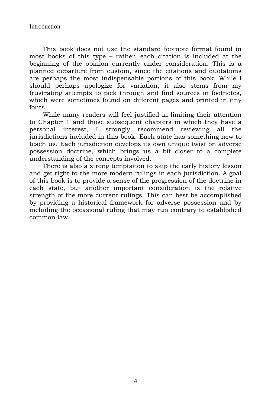This book does not use the standard footnote format found in most books of this type – rather, each citation is included at the beginning of the opinion currently under consideration. This is a planned departure from custom, since the citations and quotations are perhaps the most indispensable portions of this book. While I should perhaps apologize for variation, it also stems from my frustrating attempts to pick through and find sources in footnotes, which were sometimes found on different pages and printed in tiny fonts.

While many readers will feel justified in limiting their attention to Chapter 1 and those subsequent chapters in which they have a personal interest, I strongly recommend reviewing all the jurisdictions included in this book. Each state has something new to teach us. Each jurisdiction develops its own unique twist on adverse possession doctrine, which brings us a bit closer to a complete understanding of the concepts involved.

There is also a strong temptation to skip the early history lesson and get right to the more modern rulings in each jurisdiction. A goal of this book is to provide a sense of the progression of the doctrine in each state, but another important consideration is the relative strength of the more current rulings. This can best be accomplished by providing a historical framework for adverse possession and by including the occasional ruling that may run contrary to established common law.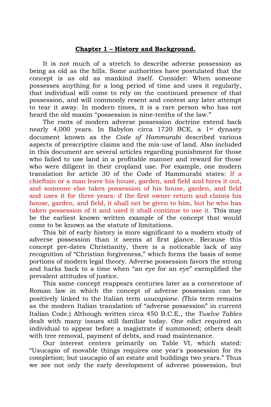#### **Chapter 1 – History and Background.**

It is not much of a stretch to describe adverse possession as being as old as the hills. Some authorities have postulated that the concept is as old as mankind itself. Consider: When someone possesses anything for a long period of time and uses it regularly, that individual will come to rely on the continued presence of that possession, and will commonly resent and contest any later attempt to tear it away. In modern times, it is a rare person who has not heard the old maxim "possession is nine-tenths of the law."

The roots of modern adverse possession doctrine extend back nearly 4,000 years. In Babylon circa 1720 BCE, a 1st dynasty document known as the *Code of Hammurabi* described various aspects of prescriptive claims and the mis-use of land. Also included in this document are several articles regarding punishment for those who failed to use land in a profitable manner and reward for those who were diligent in their cropland use. For example, one modern translation for article 30 of the Code of Hammurabi states: If a chieftain or a man leave his house, garden, and field and hires it out, and someone else takes possession of his house, garden, and field and uses it for three years: if the first owner return and claims his house, garden, and field, it shall not be given to him, but he who has taken possession of it and used it shall continue to use it. This may be the earliest known written example of the concept that would come to be known as the statute of limitations.

This bit of early history is more significant to a modern study of adverse possession than it seems at first glance. Because this concept pre-dates Christianity, there is a noticeable lack of any recognition of "Christian forgiveness," which forms the basis of some portions of modern legal theory. Adverse possession favors the strong and harks back to a time when "an eye for an eye" exemplified the prevalent attitudes of justice.

This same concept reappears centuries later as a cornerstone of Roman law in which the concept of adverse possession can be positively linked to the Italian term *usucapione*. (This term remains as the modern Italian translation of "adverse possession" in current Italian Code.) Although written circa 450 B.C.E., the *Twelve Tables* dealt with many issues still familiar today. One edict required an individual to appear before a magistrate if summoned; others dealt with tree removal, payment of debts, and road maintenance.

Our interest centers primarily on Table VI, which stated: "Usucapio of movable things requires one year's possession for its completion; but usucapio of an estate and buildings two years." Thus we see not only the early development of adverse possession, but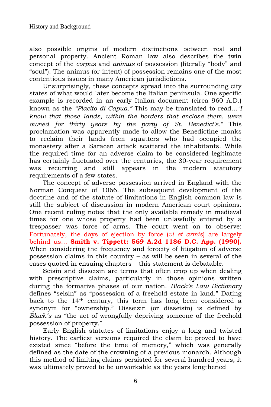also possible origins of modern distinctions between real and personal property. Ancient Roman law also describes the twin concept of the *corpus* and *animus* of possession (literally "body" and "soul"). The animus (or intent) of possession remains one of the most contentious issues in many American jurisdictions.

Unsurprisingly, these concepts spread into the surrounding city states of what would later become the Italian peninsula. One specific example is recorded in an early Italian document (circa 960 A.D.) known as the *"Placito di Capua."* This may be translated to read…*"I know that those lands, within the borders that enclose them, were owned for thirty years by the party of St. Benedict's."* This proclamation was apparently made to allow the Benedictine monks to reclaim their lands from squatters who had occupied the monastery after a Saracen attack scattered the inhabitants. While the required time for an adverse claim to be considered legitimate has certainly fluctuated over the centuries, the 30-year requirement was recurring and still appears in the modern statutory requirements of a few states.

The concept of adverse possession arrived in England with the Norman Conquest of 1066. The subsequent development of the doctrine and of the statute of limitations in English common law is still the subject of discussion in modern American court opinions. One recent ruling notes that the only available remedy in medieval times for one whose property had been unlawfully entered by a trespasser was force of arms. The court went on to observe: Fortunately, the days of ejection by force (*vi et armis*) are largely behind us… **Smith v. Tippett: 569 A.2d 1186 D.C. App. (1990).**  When considering the frequency and ferocity of litigation of adverse possession claims in this country – as will be seen in several of the cases quoted in ensuing chapters – this statement is debatable.

Seisin and disseisin are terms that often crop up when dealing with prescriptive claims, particularly in those opinions written during the formative phases of our nation. *Black's Law Dictionary*  defines "seisin" as "possession of a freehold estate in land." Dating back to the 14th century, this term has long been considered a synonym for "ownership." Disseizin (or disseisin) is defined by *Black's* as "the act of wrongfully depriving someone of the freehold possession of property."

Early English statutes of limitations enjoy a long and twisted history. The earliest versions required the claim be proved to have existed since "before the time of memory," which was generally defined as the date of the crowning of a previous monarch. Although this method of limiting claims persisted for several hundred years, it was ultimately proved to be unworkable as the years lengthened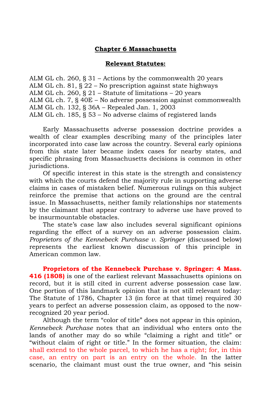#### **Chapter 6 Massachusetts**

#### **Relevant Statutes:**

ALM GL ch. 260, § 31 – Actions by the commonwealth 20 years ALM GL ch. 81, § 22 – No prescription against state highways ALM GL ch. 260, § 21 – Statute of limitations – 20 years ALM GL ch. 7, § 40E – No adverse possession against commonwealth ALM GL ch. 132, § 36A – Repealed Jan. 1, 2003 ALM GL ch. 185, § 53 – No adverse claims of registered lands

Early Massachusetts adverse possession doctrine provides a wealth of clear examples describing many of the principles later incorporated into case law across the country. Several early opinions from this state later became index cases for nearby states, and specific phrasing from Massachusetts decisions is common in other jurisdictions.

Of specific interest in this state is the strength and consistency with which the courts defend the majority rule in supporting adverse claims in cases of mistaken belief. Numerous rulings on this subject reinforce the premise that actions on the ground are the central issue. In Massachusetts, neither family relationships nor statements by the claimant that appear contrary to adverse use have proved to be insurmountable obstacles.

The state's case law also includes several significant opinions regarding the effect of a survey on an adverse possession claim. *Proprietors of the Kennebeck Purchase v. Springer* (discussed below) represents the earliest known discussion of this principle in American common law.

**Proprietors of the Kennebeck Purchase v. Springer: 4 Mass. 416 (1808)** is one of the earliest relevant Massachusetts opinions on record, but it is still cited in current adverse possession case law. One portion of this landmark opinion that is not still relevant today: The Statute of 1786, Chapter 13 (in force at that time) required 30 years to perfect an adverse possession claim, as opposed to the nowrecognized 20 year period.

Although the term "color of title" does not appear in this opinion, *Kennebeck Purchase* notes that an individual who enters onto the lands of another may do so while "claiming a right and title" or "without claim of right or title." In the former situation, the claim: shall extend to the whole parcel, to which he has a right; for, in this case, an entry on part is an entry on the whole. In the latter scenario, the claimant must oust the true owner, and "his seisin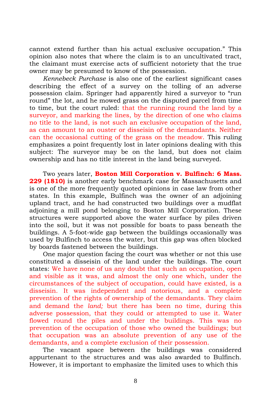cannot extend further than his actual exclusive occupation." This opinion also notes that where the claim is to an uncultivated tract, the claimant must exercise acts of sufficient notoriety that the true owner may be presumed to know of the possession.

*Kennebeck Purchase* is also one of the earliest significant cases describing the effect of a survey on the tolling of an adverse possession claim. Springer had apparently hired a surveyor to "run round" the lot, and he mowed grass on the disputed parcel from time to time, but the court ruled: that the running round the land by a surveyor, and marking the lines, by the direction of one who claims no title to the land, is not such an exclusive occupation of the land, as can amount to an ouster or disseisin of the demandants. Neither can the occasional cutting of the grass on the meadow. This ruling emphasizes a point frequently lost in later opinions dealing with this subject: The surveyor may be on the land, but does not claim ownership and has no title interest in the land being surveyed.

Two years later, **Boston Mill Corporation v. Bulfinch: 6 Mass. 229 (1810)** is another early benchmark case for Massachusetts and is one of the more frequently quoted opinions in case law from other states. In this example, Bulfinch was the owner of an adjoining upland tract, and he had constructed two buildings over a mudflat adjoining a mill pond belonging to Boston Mill Corporation. These structures were supported above the water surface by piles driven into the soil, but it was not possible for boats to pass beneath the buildings. A 5-foot-wide gap between the buildings occasionally was used by Bulfinch to access the water, but this gap was often blocked by boards fastened between the buildings.

One major question facing the court was whether or not this use constituted a disseisin of the land under the buildings. The court states: We have none of us any doubt that such an occupation, open and visible as it was, and almost the only one which, under the circumstances of the subject of occupation, could have existed, is a disseisin. It was independent and notorious, and a complete prevention of the rights of ownership of the demandants. They claim and demand the *land;* but there has been no time, during this adverse possession, that they could or attempted to use it. Water flowed round the piles and under the buildings. This was no prevention of the occupation of those who owned the buildings; but that occupation was an absolute prevention of any use of the demandants, and a complete exclusion of their possession.

The vacant space between the buildings was considered appurtenant to the structures and was also awarded to Bulfinch. However, it is important to emphasize the limited uses to which this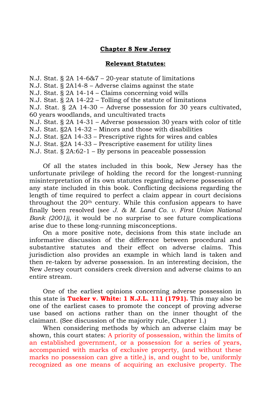#### **Chapter 8 New Jersey**

#### **Relevant Statutes:**

N.J. Stat. § 2A 14-6&7 – 20-year statute of limitations N.J. Stat. § 2A14-8 – Adverse claims against the state N.J. Stat. § 2A 14-14 – Claims concerning void wills N.J. Stat. § 2A 14-22 – Tolling of the statute of limitations N.J. Stat. § 2A 14-30 – Adverse possession for 30 years cultivated, 60 years woodlands, and uncultivated tracts N.J. Stat. § 2A 14-31 – Adverse possession 30 years with color of title N.J. Stat. §2A 14-32 – Minors and those with disabilities N.J. Stat. §2A 14-33 – Prescriptive rights for wires and cables N.J. Stat. §2A 14-33 – Prescriptive easement for utility lines N.J. Stat. § 2A:62-1 – By persons in peaceable possession

Of all the states included in this book, New Jersey has the unfortunate privilege of holding the record for the longest-running misinterpretation of its own statutes regarding adverse possession of any state included in this book. Conflicting decisions regarding the length of time required to perfect a claim appear in court decisions throughout the 20th century. While this confusion appears to have finally been resolved (see *J. & M. Land Co. v. First Union National Bank (2001)),* it would be no surprise to see future complications arise due to these long-running misconceptions.

On a more positive note, decisions from this state include an informative discussion of the difference between procedural and substantive statutes and their effect on adverse claims. This jurisdiction also provides an example in which land is taken and then re-taken by adverse possession. In an interesting decision, the New Jersey court considers creek diversion and adverse claims to an entire stream.

One of the earliest opinions concerning adverse possession in this state is **Tucker v. White: 1 N.J.L. 111 (1791).** This may also be one of the earliest cases to promote the concept of proving adverse use based on actions rather than on the inner thought of the claimant. (See discussion of the majority rule, Chapter 1.)

When considering methods by which an adverse claim may be shown, this court states: A priority of possession, within the limits of an established government, or a possession for a series of years, accompanied with marks of exclusive property, (and without these marks no possession can give a title,) is, and ought to be, uniformly recognized as one means of acquiring an exclusive property. The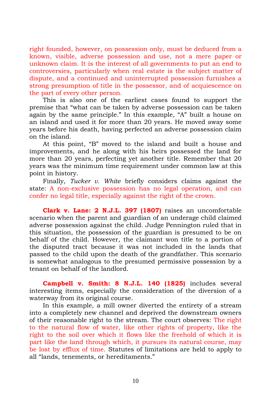right founded, however, on possession only, must be deduced from a known, visible, adverse possession and use, not a mere paper or unknown claim. It is the interest of all governments to put an end to controversies, particularly when real estate is the subject matter of dispute, and a continued and uninterrupted possession furnishes a strong presumption of title in the possessor, and of acquiescence on the part of every other person.

This is also one of the earliest cases found to support the premise that "what can be taken by adverse possession can be taken again by the same principle." In this example, "A" built a house on an island and used it for more than 20 years. He moved away some years before his death, having perfected an adverse possession claim on the island.

At this point, "B" moved to the island and built a house and improvements, and he along with his heirs possessed the land for more than 20 years, perfecting yet another title. Remember that 20 years was the minimum time requirement under common law at this point in history.

Finally, *Tucker v. White* briefly considers claims against the state: A non-exclusive possession has no legal operation, and can confer no legal title, especially against the right of the crown.

**Clark v. Lane: 2 N.J.L. 397 (1807)** raises an uncomfortable scenario when the parent and guardian of an underage child claimed adverse possession against the child. Judge Pennington ruled that in this situation, the possession of the guardian is presumed to be on behalf of the child. However, the claimant won title to a portion of the disputed tract because it was not included in the lands that passed to the child upon the death of the grandfather. This scenario is somewhat analogous to the presumed permissive possession by a tenant on behalf of the landlord.

**Campbell v. Smith: 8 N.J.L. 140 (1825)** includes several interesting items, especially the consideration of the diversion of a waterway from its original course.

In this example, a mill owner diverted the entirety of a stream into a completely new channel and deprived the downstream owners of their reasonable right to the stream. The court observes: The right to the natural flow of water, like other rights of property, like the right to the soil over which it flows like the freehold of which it is part like the land through which, it pursues its natural course, may be lost by efflux of time. Statutes of limitations are held to apply to all "lands, tenements, or hereditaments."